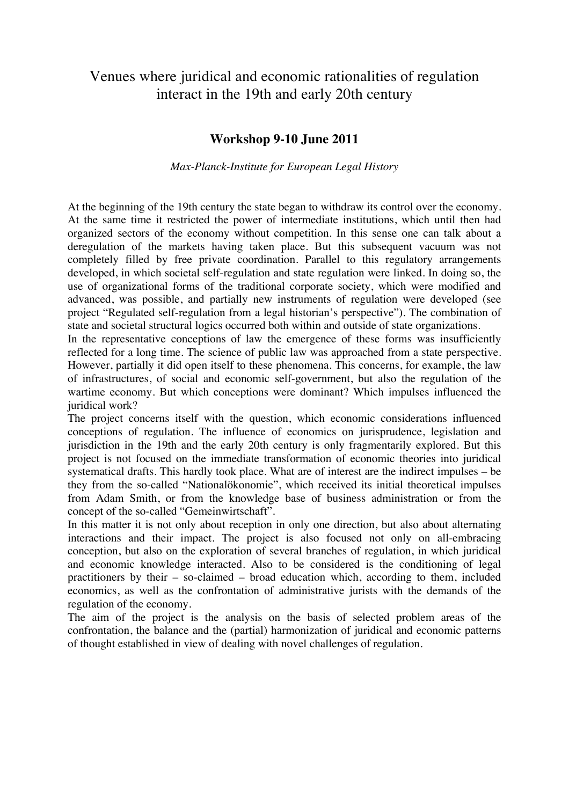# Venues where juridical and economic rationalities of regulation interact in the 19th and early 20th century

# **Workshop 9-10 June 2011**

*Max-Planck-Institute for European Legal History*

At the beginning of the 19th century the state began to withdraw its control over the economy. At the same time it restricted the power of intermediate institutions, which until then had organized sectors of the economy without competition. In this sense one can talk about a deregulation of the markets having taken place. But this subsequent vacuum was not completely filled by free private coordination. Parallel to this regulatory arrangements developed, in which societal self-regulation and state regulation were linked. In doing so, the use of organizational forms of the traditional corporate society, which were modified and advanced, was possible, and partially new instruments of regulation were developed (see project "Regulated self-regulation from a legal historian's perspective"). The combination of state and societal structural logics occurred both within and outside of state organizations.

In the representative conceptions of law the emergence of these forms was insufficiently reflected for a long time. The science of public law was approached from a state perspective. However, partially it did open itself to these phenomena. This concerns, for example, the law of infrastructures, of social and economic self-government, but also the regulation of the wartime economy. But which conceptions were dominant? Which impulses influenced the juridical work?

The project concerns itself with the question, which economic considerations influenced conceptions of regulation. The influence of economics on jurisprudence, legislation and jurisdiction in the 19th and the early 20th century is only fragmentarily explored. But this project is not focused on the immediate transformation of economic theories into juridical systematical drafts. This hardly took place. What are of interest are the indirect impulses – be they from the so-called "Nationalökonomie", which received its initial theoretical impulses from Adam Smith, or from the knowledge base of business administration or from the concept of the so-called "Gemeinwirtschaft".

In this matter it is not only about reception in only one direction, but also about alternating interactions and their impact. The project is also focused not only on all-embracing conception, but also on the exploration of several branches of regulation, in which juridical and economic knowledge interacted. Also to be considered is the conditioning of legal practitioners by their – so-claimed – broad education which, according to them, included economics, as well as the confrontation of administrative jurists with the demands of the regulation of the economy.

The aim of the project is the analysis on the basis of selected problem areas of the confrontation, the balance and the (partial) harmonization of juridical and economic patterns of thought established in view of dealing with novel challenges of regulation.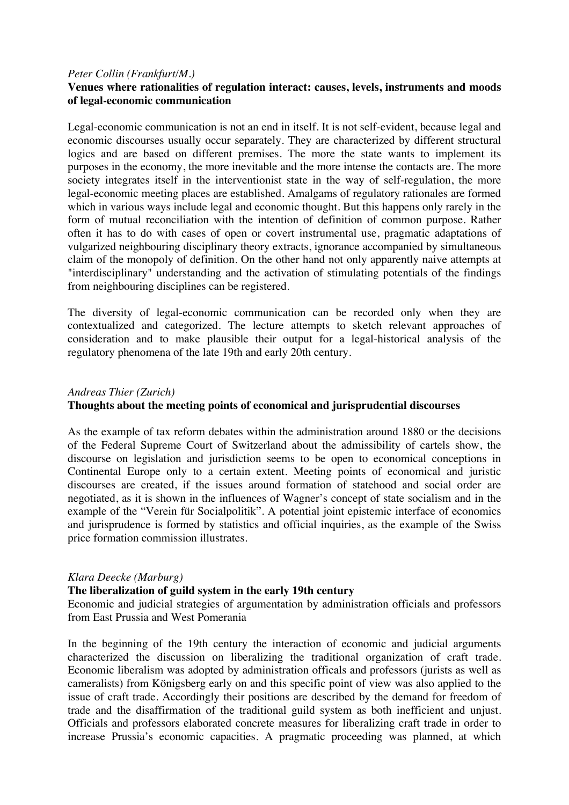## *Peter Collin (Frankfurt/M.)* **Venues where rationalities of regulation interact: causes, levels, instruments and moods of legal-economic communication**

Legal-economic communication is not an end in itself. It is not self-evident, because legal and economic discourses usually occur separately. They are characterized by different structural logics and are based on different premises. The more the state wants to implement its purposes in the economy, the more inevitable and the more intense the contacts are. The more society integrates itself in the interventionist state in the way of self-regulation, the more legal-economic meeting places are established. Amalgams of regulatory rationales are formed which in various ways include legal and economic thought. But this happens only rarely in the form of mutual reconciliation with the intention of definition of common purpose. Rather often it has to do with cases of open or covert instrumental use, pragmatic adaptations of vulgarized neighbouring disciplinary theory extracts, ignorance accompanied by simultaneous claim of the monopoly of definition. On the other hand not only apparently naive attempts at "interdisciplinary" understanding and the activation of stimulating potentials of the findings from neighbouring disciplines can be registered.

The diversity of legal-economic communication can be recorded only when they are contextualized and categorized. The lecture attempts to sketch relevant approaches of consideration and to make plausible their output for a legal-historical analysis of the regulatory phenomena of the late 19th and early 20th century.

### *Andreas Thier (Zurich)*

## **Thoughts about the meeting points of economical and jurisprudential discourses**

As the example of tax reform debates within the administration around 1880 or the decisions of the Federal Supreme Court of Switzerland about the admissibility of cartels show, the discourse on legislation and jurisdiction seems to be open to economical conceptions in Continental Europe only to a certain extent. Meeting points of economical and juristic discourses are created, if the issues around formation of statehood and social order are negotiated, as it is shown in the influences of Wagner's concept of state socialism and in the example of the "Verein für Socialpolitik". A potential joint epistemic interface of economics and jurisprudence is formed by statistics and official inquiries, as the example of the Swiss price formation commission illustrates.

### *Klara Deecke (Marburg)*

### **The liberalization of guild system in the early 19th century**

Economic and judicial strategies of argumentation by administration officials and professors from East Prussia and West Pomerania

In the beginning of the 19th century the interaction of economic and judicial arguments characterized the discussion on liberalizing the traditional organization of craft trade. Economic liberalism was adopted by administration officals and professors (jurists as well as cameralists) from Königsberg early on and this specific point of view was also applied to the issue of craft trade. Accordingly their positions are described by the demand for freedom of trade and the disaffirmation of the traditional guild system as both inefficient and unjust. Officials and professors elaborated concrete measures for liberalizing craft trade in order to increase Prussia's economic capacities. A pragmatic proceeding was planned, at which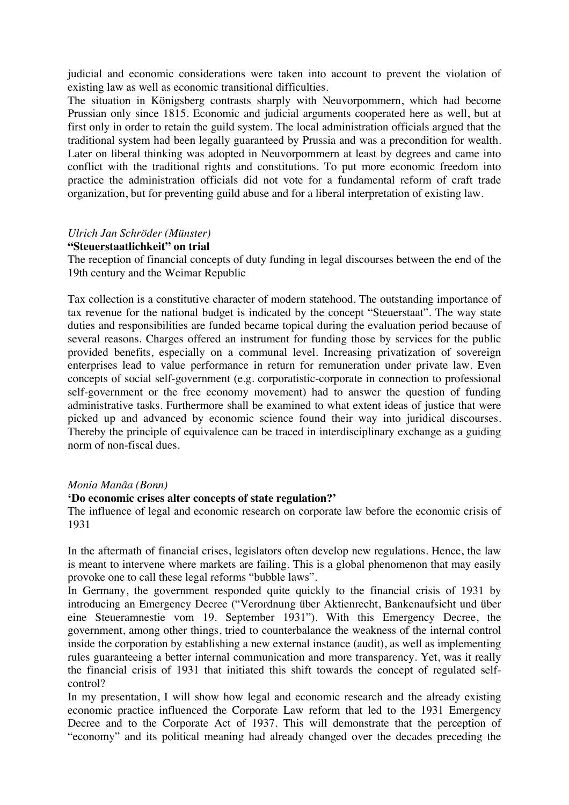judicial and economic considerations were taken into account to prevent the violation of existing law as well as economic transitional difficulties.

The situation in Königsberg contrasts sharply with Neuvorpommern, which had become Prussian only since 1815. Economic and judicial arguments cooperated here as well, but at first only in order to retain the guild system. The local administration officials argued that the traditional system had been legally guaranteed by Prussia and was a precondition for wealth. Later on liberal thinking was adopted in Neuvorpommern at least by degrees and came into conflict with the traditional rights and constitutions. To put more economic freedom into practice the administration officials did not vote for a fundamental reform of craft trade organization, but for preventing guild abuse and for a liberal interpretation of existing law.

## *Ulrich Jan Schröder (Münster)*

### **"Steuerstaatlichkeit" on trial**

The reception of financial concepts of duty funding in legal discourses between the end of the 19th century and the Weimar Republic

Tax collection is a constitutive character of modern statehood. The outstanding importance of tax revenue for the national budget is indicated by the concept "Steuerstaat". The way state duties and responsibilities are funded became topical during the evaluation period because of several reasons. Charges offered an instrument for funding those by services for the public provided benefits, especially on a communal level. Increasing privatization of sovereign enterprises lead to value performance in return for remuneration under private law. Even concepts of social self-government (e.g. corporatistic-corporate in connection to professional self-government or the free economy movement) had to answer the question of funding administrative tasks. Furthermore shall be examined to what extent ideas of justice that were picked up and advanced by economic science found their way into juridical discourses. Thereby the principle of equivalence can be traced in interdisciplinary exchange as a guiding norm of non-fiscal dues.

### *Monia Manâa (Bonn)*

#### **'Do economic crises alter concepts of state regulation?'**

The influence of legal and economic research on corporate law before the economic crisis of 1931

In the aftermath of financial crises, legislators often develop new regulations. Hence, the law is meant to intervene where markets are failing. This is a global phenomenon that may easily provoke one to call these legal reforms "bubble laws".

In Germany, the government responded quite quickly to the financial crisis of 1931 by introducing an Emergency Decree ("Verordnung über Aktienrecht, Bankenaufsicht und über eine Steueramnestie vom 19. September 1931"). With this Emergency Decree, the government, among other things, tried to counterbalance the weakness of the internal control inside the corporation by establishing a new external instance (audit), as well as implementing rules guaranteeing a better internal communication and more transparency. Yet, was it really the financial crisis of 1931 that initiated this shift towards the concept of regulated selfcontrol?

In my presentation, I will show how legal and economic research and the already existing economic practice influenced the Corporate Law reform that led to the 1931 Emergency Decree and to the Corporate Act of 1937. This will demonstrate that the perception of "economy" and its political meaning had already changed over the decades preceding the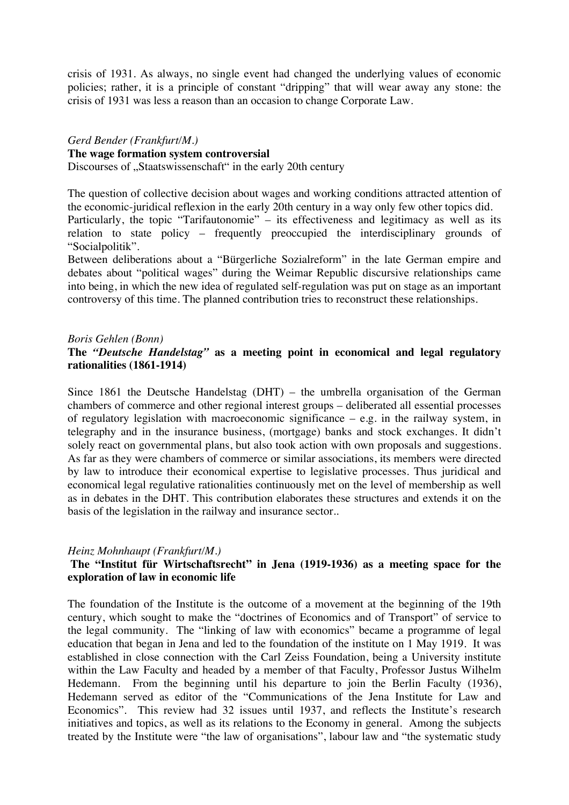crisis of 1931. As always, no single event had changed the underlying values of economic policies; rather, it is a principle of constant "dripping" that will wear away any stone: the crisis of 1931 was less a reason than an occasion to change Corporate Law.

#### *Gerd Bender (Frankfurt/M.)* **The wage formation system controversial**

Discourses of "Staatswissenschaft" in the early 20th century

The question of collective decision about wages and working conditions attracted attention of the economic-juridical reflexion in the early 20th century in a way only few other topics did. Particularly, the topic "Tarifautonomie" – its effectiveness and legitimacy as well as its

relation to state policy – frequently preoccupied the interdisciplinary grounds of "Socialpolitik".

Between deliberations about a "Bürgerliche Sozialreform" in the late German empire and debates about "political wages" during the Weimar Republic discursive relationships came into being, in which the new idea of regulated self-regulation was put on stage as an important controversy of this time. The planned contribution tries to reconstruct these relationships.

## *Boris Gehlen (Bonn)*

## **The** *"Deutsche Handelstag"* **as a meeting point in economical and legal regulatory rationalities (1861-1914)**

Since 1861 the Deutsche Handelstag (DHT) – the umbrella organisation of the German chambers of commerce and other regional interest groups – deliberated all essential processes of regulatory legislation with macroeconomic significance – e.g. in the railway system, in telegraphy and in the insurance business, (mortgage) banks and stock exchanges. It didn't solely react on governmental plans, but also took action with own proposals and suggestions. As far as they were chambers of commerce or similar associations, its members were directed by law to introduce their economical expertise to legislative processes. Thus juridical and economical legal regulative rationalities continuously met on the level of membership as well as in debates in the DHT. This contribution elaborates these structures and extends it on the basis of the legislation in the railway and insurance sector..

### *Heinz Mohnhaupt (Frankfurt/M.)*

## **The "Institut für Wirtschaftsrecht" in Jena (1919-1936) as a meeting space for the exploration of law in economic life**

The foundation of the Institute is the outcome of a movement at the beginning of the 19th century, which sought to make the "doctrines of Economics and of Transport" of service to the legal community. The "linking of law with economics" became a programme of legal education that began in Jena and led to the foundation of the institute on 1 May 1919. It was established in close connection with the Carl Zeiss Foundation, being a University institute within the Law Faculty and headed by a member of that Faculty, Professor Justus Wilhelm Hedemann. From the beginning until his departure to join the Berlin Faculty (1936), Hedemann served as editor of the "Communications of the Jena Institute for Law and Economics". This review had 32 issues until 1937, and reflects the Institute's research initiatives and topics, as well as its relations to the Economy in general. Among the subjects treated by the Institute were "the law of organisations", labour law and "the systematic study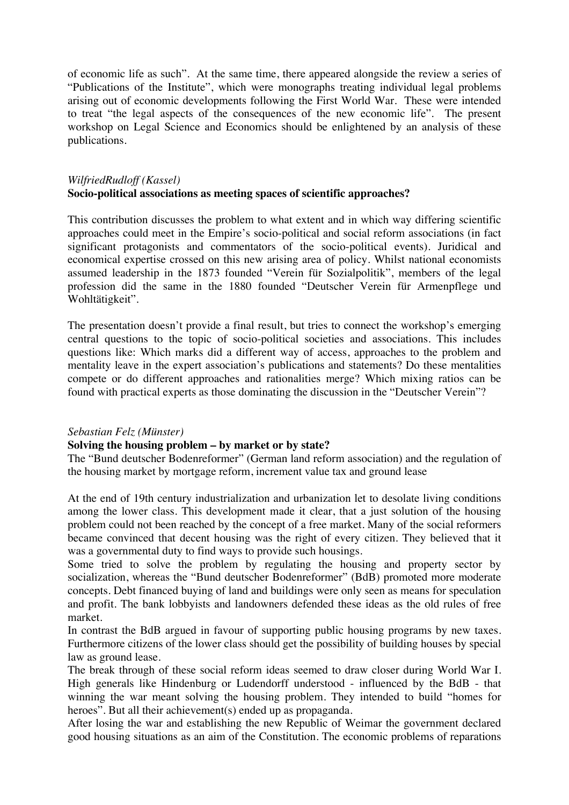of economic life as such". At the same time, there appeared alongside the review a series of "Publications of the Institute", which were monographs treating individual legal problems arising out of economic developments following the First World War. These were intended to treat "the legal aspects of the consequences of the new economic life". The present workshop on Legal Science and Economics should be enlightened by an analysis of these publications.

## *WilfriedRudloff (Kassel)* **Socio-political associations as meeting spaces of scientific approaches?**

This contribution discusses the problem to what extent and in which way differing scientific approaches could meet in the Empire's socio-political and social reform associations (in fact significant protagonists and commentators of the socio-political events). Juridical and economical expertise crossed on this new arising area of policy. Whilst national economists assumed leadership in the 1873 founded "Verein für Sozialpolitik", members of the legal profession did the same in the 1880 founded "Deutscher Verein für Armenpflege und Wohltätigkeit".

The presentation doesn't provide a final result, but tries to connect the workshop's emerging central questions to the topic of socio-political societies and associations. This includes questions like: Which marks did a different way of access, approaches to the problem and mentality leave in the expert association's publications and statements? Do these mentalities compete or do different approaches and rationalities merge? Which mixing ratios can be found with practical experts as those dominating the discussion in the "Deutscher Verein"?

### *Sebastian Felz (Münster)*

## **Solving the housing problem – by market or by state?**

The "Bund deutscher Bodenreformer" (German land reform association) and the regulation of the housing market by mortgage reform, increment value tax and ground lease

At the end of 19th century industrialization and urbanization let to desolate living conditions among the lower class. This development made it clear, that a just solution of the housing problem could not been reached by the concept of a free market. Many of the social reformers became convinced that decent housing was the right of every citizen. They believed that it was a governmental duty to find ways to provide such housings.

Some tried to solve the problem by regulating the housing and property sector by socialization, whereas the "Bund deutscher Bodenreformer" (BdB) promoted more moderate concepts. Debt financed buying of land and buildings were only seen as means for speculation and profit. The bank lobbyists and landowners defended these ideas as the old rules of free market.

In contrast the BdB argued in favour of supporting public housing programs by new taxes. Furthermore citizens of the lower class should get the possibility of building houses by special law as ground lease.

The break through of these social reform ideas seemed to draw closer during World War I. High generals like Hindenburg or Ludendorff understood - influenced by the BdB - that winning the war meant solving the housing problem. They intended to build "homes for heroes". But all their achievement(s) ended up as propaganda.

After losing the war and establishing the new Republic of Weimar the government declared good housing situations as an aim of the Constitution. The economic problems of reparations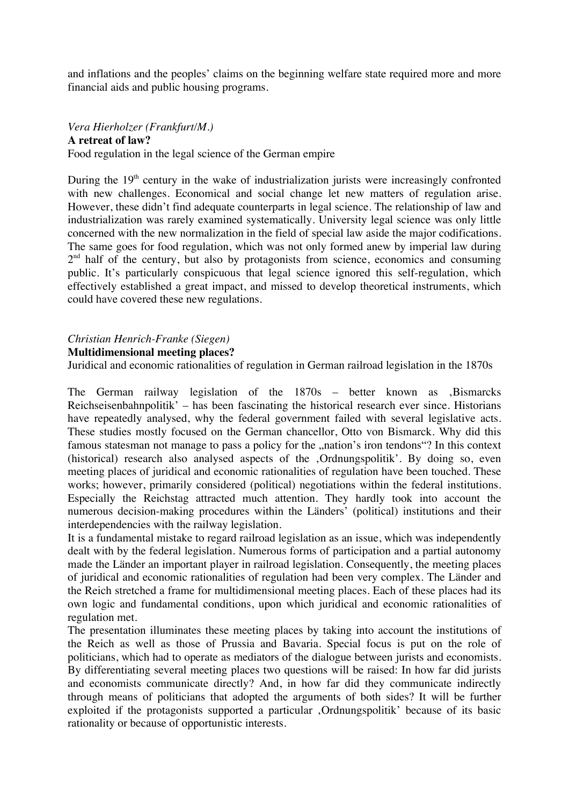and inflations and the peoples' claims on the beginning welfare state required more and more financial aids and public housing programs.

## *Vera Hierholzer (Frankfurt/M.)*

**A retreat of law?**

Food regulation in the legal science of the German empire

During the  $19<sup>th</sup>$  century in the wake of industrialization jurists were increasingly confronted with new challenges. Economical and social change let new matters of regulation arise. However, these didn't find adequate counterparts in legal science. The relationship of law and industrialization was rarely examined systematically. University legal science was only little concerned with the new normalization in the field of special law aside the major codifications. The same goes for food regulation, which was not only formed anew by imperial law during  $2<sup>nd</sup>$  half of the century, but also by protagonists from science, economics and consuming public. It's particularly conspicuous that legal science ignored this self-regulation, which effectively established a great impact, and missed to develop theoretical instruments, which could have covered these new regulations.

### *Christian Henrich-Franke (Siegen)*

#### **Multidimensional meeting places?**

Juridical and economic rationalities of regulation in German railroad legislation in the 1870s

The German railway legislation of the 1870s - better known as ,Bismarcks Reichseisenbahnpolitik' – has been fascinating the historical research ever since. Historians have repeatedly analysed, why the federal government failed with several legislative acts. These studies mostly focused on the German chancellor, Otto von Bismarck. Why did this famous statesman not manage to pass a policy for the "nation's iron tendons"? In this context (historical) research also analysed aspects of the ,Ordnungspolitik'. By doing so, even meeting places of juridical and economic rationalities of regulation have been touched. These works; however, primarily considered (political) negotiations within the federal institutions. Especially the Reichstag attracted much attention. They hardly took into account the numerous decision-making procedures within the Länders' (political) institutions and their interdependencies with the railway legislation.

It is a fundamental mistake to regard railroad legislation as an issue, which was independently dealt with by the federal legislation. Numerous forms of participation and a partial autonomy made the Länder an important player in railroad legislation. Consequently, the meeting places of juridical and economic rationalities of regulation had been very complex. The Länder and the Reich stretched a frame for multidimensional meeting places. Each of these places had its own logic and fundamental conditions, upon which juridical and economic rationalities of regulation met.

The presentation illuminates these meeting places by taking into account the institutions of the Reich as well as those of Prussia and Bavaria. Special focus is put on the role of politicians, which had to operate as mediators of the dialogue between jurists and economists. By differentiating several meeting places two questions will be raised: In how far did jurists and economists communicate directly? And, in how far did they communicate indirectly through means of politicians that adopted the arguments of both sides? It will be further exploited if the protagonists supported a particular , Ordnungspolitik' because of its basic rationality or because of opportunistic interests.